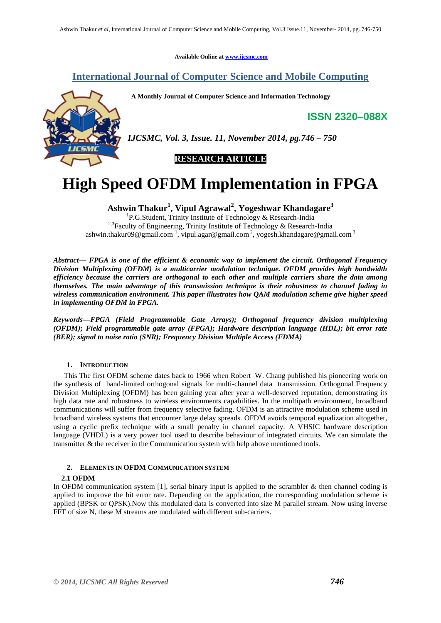**Available Online at www.ijcsmc.com**

## **International Journal of Computer Science and Mobile Computing**

 **A Monthly Journal of Computer Science and Information Technology**

**ISSN 2320–088X**



*IJCSMC, Vol. 3, Issue. 11, November 2014, pg.746 – 750*



# **High Speed OFDM Implementation in FPGA**

**Ashwin Thakur<sup>1</sup> , Vipul Agrawal<sup>2</sup> , Yogeshwar Khandagare<sup>3</sup>**

<sup>1</sup>P.G.Student, Trinity Institute of Technology & Research-India <sup>2,3</sup>Faculty of Engineering, Trinity Institute of Technology & Research-India ashwin.thakur09@gmail.com<sup>1</sup>, vipul.agar@gmail.com<sup>2</sup>, yogesh.khandagare@gmail.com<sup>3</sup>

*Abstract— FPGA is one of the efficient & economic way to implement the circuit. Orthogonal Frequency Division Multiplexing (OFDM) is a multicarrier modulation technique. OFDM provides high bandwidth efficiency because the carriers are orthogonal to each other and multiple carriers share the data among themselves. The main advantage of this transmission technique is their robustness to channel fading in wireless communication environment. This paper illustrates how QAM modulation scheme give higher speed in implementing OFDM in FPGA.*

*Keywords—FPGA (Field Programmable Gate Arrays); Orthogonal frequency division multiplexing (OFDM); Field programmable gate array (FPGA); Hardware description language (HDL); bit error rate (BER); signal to noise ratio (SNR); Frequency Division Multiple Access (FDMA)*

## **1. INTRODUCTION**

This The first OFDM scheme dates back to 1966 when Robert W. Chang published his pioneering work on the synthesis of band-limited orthogonal signals for multi-channel data transmission. Orthogonal Frequency Division Multiplexing (OFDM) has been gaining year after year a well-deserved reputation, demonstrating its high data rate and robustness to wireless environments capabilities. In the multipath environment, broadband communications will suffer from frequency selective fading. OFDM is an attractive modulation scheme used in broadband wireless systems that encounter large delay spreads. OFDM avoids temporal equalization altogether, using a cyclic prefix technique with a small penalty in channel capacity. A VHSIC hardware description language (VHDL) is a very power tool used to describe behaviour of integrated circuits. We can simulate the transmitter & the receiver in the Communication system with help above mentioned tools.

#### **2. ELEMENTS IN OFDM COMMUNICATION SYSTEM**

## **2.1 OFDM**

In OFDM communication system  $[1]$ , serial binary input is applied to the scrambler & then channel coding is applied to improve the bit error rate. Depending on the application, the corresponding modulation scheme is applied (BPSK or QPSK).Now this modulated data is converted into size M parallel stream. Now using inverse FFT of size N, these M streams are modulated with different sub-carriers.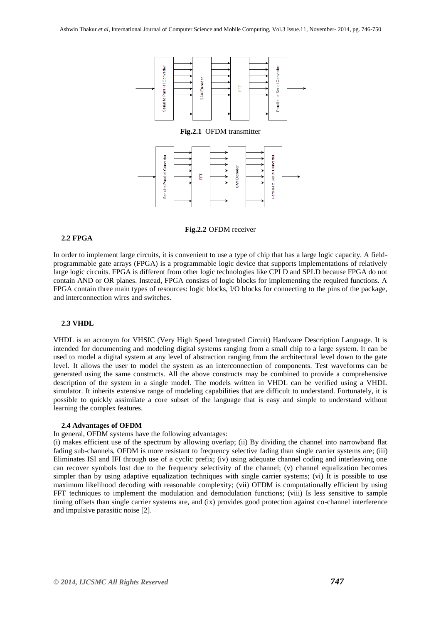

#### **Fig.2.2** OFDM receiver

#### **2.2 FPGA**

In order to implement large circuits, it is convenient to use a type of chip that has a large logic capacity. A fieldprogrammable gate arrays (FPGA) is a programmable logic device that supports implementations of relatively large logic circuits. FPGA is different from other logic technologies like CPLD and SPLD because FPGA do not contain AND or OR planes. Instead, FPGA consists of logic blocks for implementing the required functions. A FPGA contain three main types of resources: logic blocks, I/O blocks for connecting to the pins of the package, and interconnection wires and switches.

#### **2.3 VHDL**

VHDL is an acronym for VHSIC (Very High Speed Integrated Circuit) Hardware Description Language. It is intended for documenting and modeling digital systems ranging from a small chip to a large system. It can be used to model a digital system at any level of abstraction ranging from the architectural level down to the gate level. It allows the user to model the system as an interconnection of components. Test waveforms can be generated using the same constructs. All the above constructs may be combined to provide a comprehensive description of the system in a single model. The models written in VHDL can be verified using a VHDL simulator. It inherits extensive range of modeling capabilities that are difficult to understand. Fortunately, it is possible to quickly assimilate a core subset of the language that is easy and simple to understand without learning the complex features.

#### **2.4 Advantages of OFDM**

In general, OFDM systems have the following advantages:

(i) makes efficient use of the spectrum by allowing overlap; (ii) By dividing the channel into narrowband flat fading sub-channels, OFDM is more resistant to frequency selective fading than single carrier systems are; (iii) Eliminates ISI and IFI through use of a cyclic prefix; (iv) using adequate channel coding and interleaving one can recover symbols lost due to the frequency selectivity of the channel; (v) channel equalization becomes simpler than by using adaptive equalization techniques with single carrier systems; (vi) It is possible to use maximum likelihood decoding with reasonable complexity; (vii) OFDM is computationally efficient by using FFT techniques to implement the modulation and demodulation functions; (viii) Is less sensitive to sample timing offsets than single carrier systems are, and (ix) provides good protection against co-channel interference and impulsive parasitic noise [2].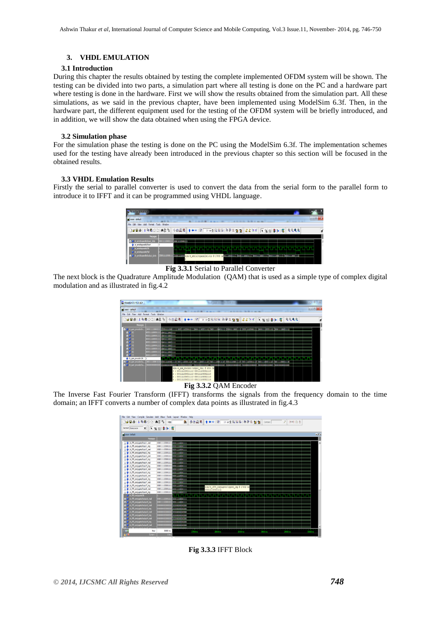## **3. VHDL EMULATION**

## **3.1 Introduction**

During this chapter the results obtained by testing the complete implemented OFDM system will be shown. The testing can be divided into two parts, a simulation part where all testing is done on the PC and a hardware part where testing is done in the hardware. First we will show the results obtained from the simulation part. All these simulations, as we said in the previous chapter, have been implemented using ModelSim 6.3f. Then, in the hardware part, the different equipment used for the testing of the OFDM system will be briefly introduced, and in addition, we will show the data obtained when using the FPGA device.

## **3.2 Simulation phase**

For the simulation phase the testing is done on the PC using the ModelSim 6.3f. The implementation schemes used for the testing have already been introduced in the previous chapter so this section will be focused in the obtained results.

## **3.3 VHDL Emulation Results**

Firstly the serial to parallel converter is used to convert the data from the serial form to the parallel form to introduce it to IFFT and it can be programmed using VHDL language.

| V ModelSim SE PLUS 6.31                          |                 |           |  |  |                                                                                                                                       |                                                                                   | о    |
|--------------------------------------------------|-----------------|-----------|--|--|---------------------------------------------------------------------------------------------------------------------------------------|-----------------------------------------------------------------------------------|------|
| <b>IN Wave</b> - default                         |                 |           |  |  | ----                                                                                                                                  |                                                                                   | $-6$ |
| Add Format Tools Window<br>File:<br>Fdit<br>View |                 |           |  |  |                                                                                                                                       |                                                                                   |      |
| <b>De Ba (19822 AFB</b>                          |                 |           |  |  |                                                                                                                                       | ◇西段图   ↑ ←→ BF   10 mg   BB B   B @ R @ @   # # E d     K @ @   # >   @   Q Q Q @ |      |
| <b>Messages</b>                                  |                 |           |  |  |                                                                                                                                       |                                                                                   |      |
| B-4 /e_serialtoparallel/input_data               | 00001111000011  | ПОЛНОСОНИ |  |  |                                                                                                                                       |                                                                                   |      |
| k_serialtoparale start                           |                 |           |  |  |                                                                                                                                       |                                                                                   |      |
| A le serialtoparalellok                          |                 |           |  |  |                                                                                                                                       | ,,,,,,,,,,,,,,,,,,,,,,                                                            |      |
| A le serialtocarale/ful                          |                 |           |  |  |                                                                                                                                       |                                                                                   |      |
| e-6 /e_serialtsparalel/output_data               | 000011110000111 |           |  |  | <b>MODEMATION sim:/e_serialtoparallel/clk @ 17090 ms<mark>MONIMODAINIA</mark>/ODD0111000011113/ODD01111000011113/0000111100001111</b> |                                                                                   |      |
|                                                  |                 |           |  |  |                                                                                                                                       |                                                                                   |      |

**Fig 3.3.1** Serial to Parallel Converter

The next block is the Quadrature Amplitude Modulation (QAM) that is used as a simple type of complex digital modulation and as illustrated in fig.4.2

| M ModelSim SE PLUS 6.3f                                                             |                                                                                                                                                       |                                                                                                                            |      |                                                                                                                                                                                                                                        |                                   |  |  |      |                                                                                                                                                                                                                                |            |                   |  | $-08$  |
|-------------------------------------------------------------------------------------|-------------------------------------------------------------------------------------------------------------------------------------------------------|----------------------------------------------------------------------------------------------------------------------------|------|----------------------------------------------------------------------------------------------------------------------------------------------------------------------------------------------------------------------------------------|-----------------------------------|--|--|------|--------------------------------------------------------------------------------------------------------------------------------------------------------------------------------------------------------------------------------|------------|-------------------|--|--------|
| <b>IE</b> wave - default                                                            |                                                                                                                                                       |                                                                                                                            |      |                                                                                                                                                                                                                                        |                                   |  |  |      | ---                                                                                                                                                                                                                            |            |                   |  | $-0-3$ |
| File Edit<br>View<br>Add                                                            | Window<br>Tools<br>Format                                                                                                                             |                                                                                                                            |      |                                                                                                                                                                                                                                        |                                   |  |  |      |                                                                                                                                                                                                                                |            |                   |  |        |
| □○日母 ※ № № 22 (共計階)                                                                 |                                                                                                                                                       |                                                                                                                            | 赤西贝革 |                                                                                                                                                                                                                                        | 14++ F 10 10 1 E B F 10 T 2 2 2 2 |  |  |      | 書店社所                                                                                                                                                                                                                           | 【 向 担 】 2→ | 冨                 |  | ď      |
| <b>Messages</b>                                                                     |                                                                                                                                                       |                                                                                                                            |      |                                                                                                                                                                                                                                        |                                   |  |  |      |                                                                                                                                                                                                                                |            |                   |  |        |
| je gan encoder/in                                                                   | 00001111000011<br>000011110000111<br>000011110000111<br>000011110000111<br>000011110000111<br>000011110000111<br>0000111100001111<br>0000111100001111 | <b>DIODISSIONOSISS</b><br>оконнозонн<br>оконнозонн<br>0100111100301111<br>0100111100301111<br>Бюннююнн<br>0000111100001111 |      |                                                                                                                                                                                                                                        |                                   |  |  |      | , (0000111100001111), (0000111100001111), (000011111010011111), (100011110100001111000001111), (000011100001111), (0000111100001111), (0000111100001111), (0000111100001111), (0000111100001111), (0000111100001111), (0000111 |            |                   |  |        |
| t je gan encoder/dk<br>D- <sup>4</sup> le san encoder/ou.<br>D-4 le_gan_encoder/ou. | 000011110000111<br>00011110000111<br>10000000000000                                                                                                   | понимомн                                                                                                                   |      | (0001111000011110) (000111100001110)<br>sim:/e gam encoder/output real 8 6934 ns<br>: 0001111000011110 0001111000011110<br>0001111000011110 0001111000011110<br>0001111000011110 0001111000011110<br>0001111000011110 0001111000011110 |                                   |  |  | toon | 11110000111103-00001111                                                                                                                                                                                                        |            | DOO1113000011110) |  |        |

## **Fig 3.3.2** QAM Encoder

The Inverse Fast Fourier Transform (IFFT) transforms the signals from the frequency domain to the time domain; an IFFT converts a number of complex data points as illustrated in fig.4.3



**Fig 3.3.3** IFFT Block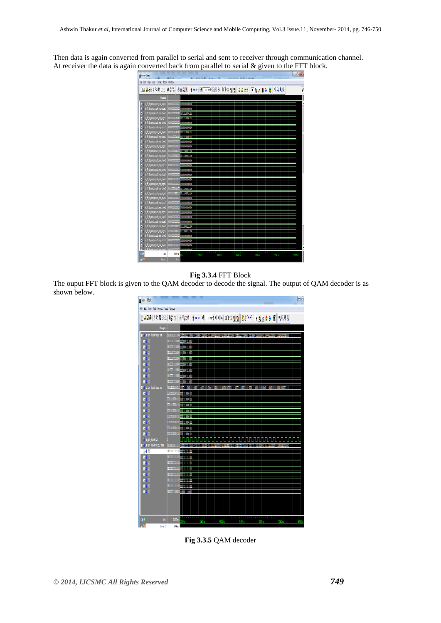Then data is again converted from parallel to serial and sent to receiver through communication channel. At receiver the data is again converted back from parallel to serial & given to the FFT block.



## **Fig 3.3.4** FFT Block

The ouput FFT block is given to the QAM decoder to decode the signal. The output of QAM decoder is as shown below.



**Fig 3.3.5** QAM decoder